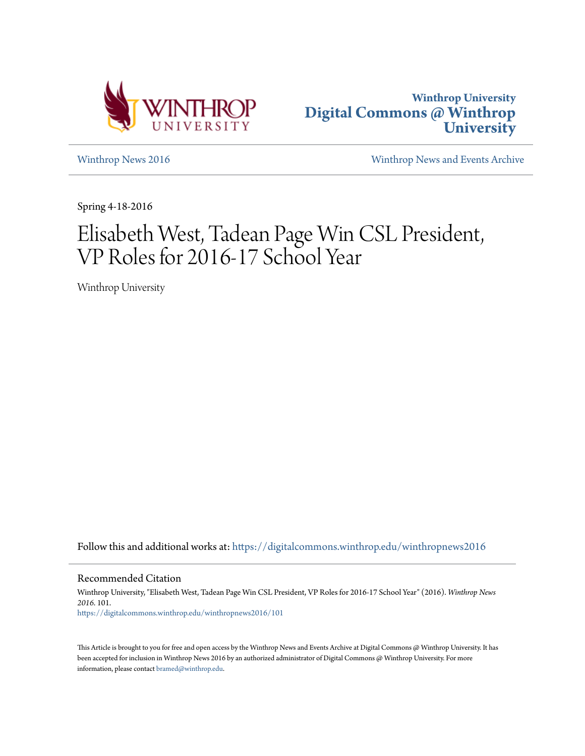



[Winthrop News 2016](https://digitalcommons.winthrop.edu/winthropnews2016?utm_source=digitalcommons.winthrop.edu%2Fwinthropnews2016%2F101&utm_medium=PDF&utm_campaign=PDFCoverPages) [Winthrop News and Events Archive](https://digitalcommons.winthrop.edu/winthropnewsarchives?utm_source=digitalcommons.winthrop.edu%2Fwinthropnews2016%2F101&utm_medium=PDF&utm_campaign=PDFCoverPages)

Spring 4-18-2016

## Elisabeth West, Tadean Page Win CSL President, VP Roles for 2016-17 School Year

Winthrop University

Follow this and additional works at: [https://digitalcommons.winthrop.edu/winthropnews2016](https://digitalcommons.winthrop.edu/winthropnews2016?utm_source=digitalcommons.winthrop.edu%2Fwinthropnews2016%2F101&utm_medium=PDF&utm_campaign=PDFCoverPages)

Recommended Citation

Winthrop University, "Elisabeth West, Tadean Page Win CSL President, VP Roles for 2016-17 School Year" (2016). *Winthrop News 2016*. 101. [https://digitalcommons.winthrop.edu/winthropnews2016/101](https://digitalcommons.winthrop.edu/winthropnews2016/101?utm_source=digitalcommons.winthrop.edu%2Fwinthropnews2016%2F101&utm_medium=PDF&utm_campaign=PDFCoverPages)

This Article is brought to you for free and open access by the Winthrop News and Events Archive at Digital Commons @ Winthrop University. It has been accepted for inclusion in Winthrop News 2016 by an authorized administrator of Digital Commons @ Winthrop University. For more information, please contact [bramed@winthrop.edu](mailto:bramed@winthrop.edu).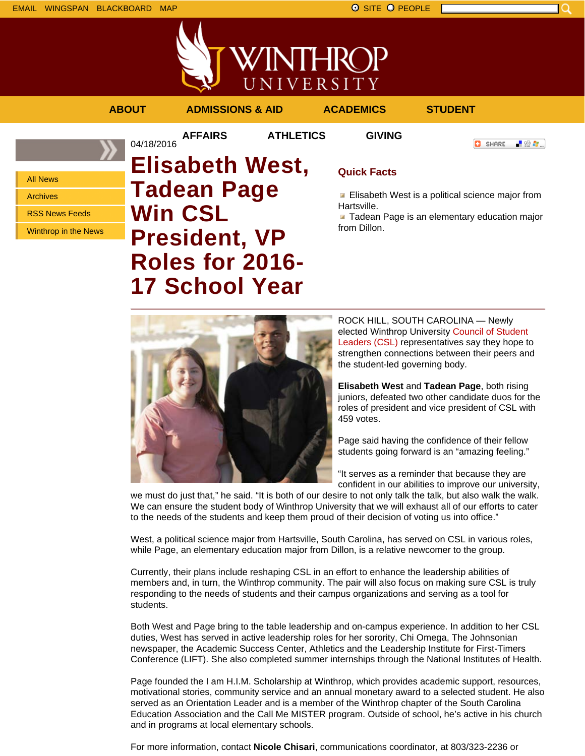



**AFFAIRS ATHLETICS GIVING**

04/18/2016

**ABOUT ADMISSIONS & AID ACADEMICS STUDENT**

**O** SHARE

上帝身上

All News Archives

RSS News Feeds

Winthrop in the News

**Elisabeth West, Tadean Page Win CSL President, VP Roles for 2016- 17 School Year**

## **Quick Facts**

**Elisabeth West is a political science major from** Hartsville.

**Tadean Page is an elementary education major** from Dillon.



ROCK HILL, SOUTH CAROLINA — Newly elected Winthrop University Council of Student Leaders (CSL) representatives say they hope to strengthen connections between their peers and the student-led governing body.

**Elisabeth West** and **Tadean Page**, both rising juniors, defeated two other candidate duos for the roles of president and vice president of CSL with 459 votes.

Page said having the confidence of their fellow students going forward is an "amazing feeling."

"It serves as a reminder that because they are confident in our abilities to improve our university,

we must do just that," he said. "It is both of our desire to not only talk the talk, but also walk the walk. We can ensure the student body of Winthrop University that we will exhaust all of our efforts to cater to the needs of the students and keep them proud of their decision of voting us into office."

West, a political science major from Hartsville, South Carolina, has served on CSL in various roles, while Page, an elementary education major from Dillon, is a relative newcomer to the group.

Currently, their plans include reshaping CSL in an effort to enhance the leadership abilities of members and, in turn, the Winthrop community. The pair will also focus on making sure CSL is truly responding to the needs of students and their campus organizations and serving as a tool for students.

Both West and Page bring to the table leadership and on-campus experience. In addition to her CSL duties, West has served in active leadership roles for her sorority, Chi Omega, The Johnsonian newspaper, the Academic Success Center, Athletics and the Leadership Institute for First-Timers Conference (LIFT). She also completed summer internships through the National Institutes of Health.

Page founded the I am H.I.M. Scholarship at Winthrop, which provides academic support, resources, motivational stories, community service and an annual monetary award to a selected student. He also served as an Orientation Leader and is a member of the Winthrop chapter of the South Carolina Education Association and the Call Me MISTER program. Outside of school, he's active in his church and in programs at local elementary schools.

For more information, contact **Nicole Chisari**, communications coordinator, at 803/323-2236 or